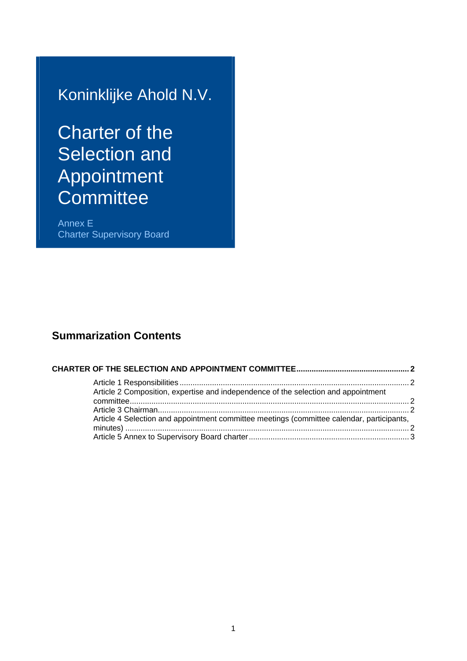## Koninklijke Ahold N.V.

# Charter of the Selection and Appointment **Committee**

Annex E Charter Supervisory Board

### **Summarization Contents**

| Article 2 Composition, expertise and independence of the selection and appointment        |  |
|-------------------------------------------------------------------------------------------|--|
|                                                                                           |  |
|                                                                                           |  |
| Article 4 Selection and appointment committee meetings (committee calendar, participants, |  |
|                                                                                           |  |
|                                                                                           |  |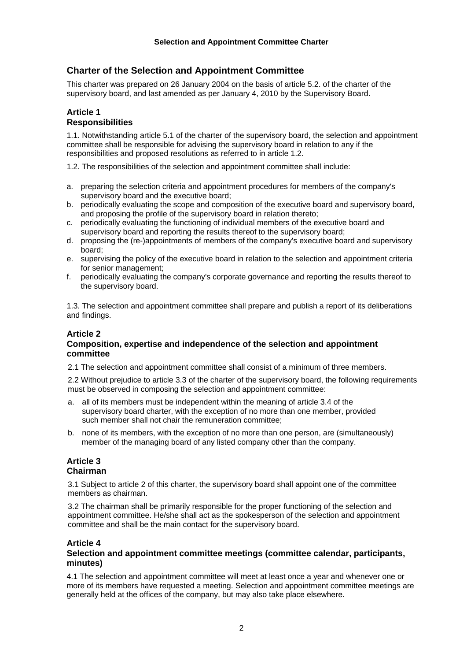#### <span id="page-1-0"></span>**Charter of the Selection and Appointment Committee**

This charter was prepared on 26 January 2004 on the basis of article 5.2. of the charter of the supervisory board, and last amended as per January 4, 2010 by the Supervisory Board.

#### **Article 1 Responsibilities**

1.1. Notwithstanding article 5.1 of the charter of the supervisory board, the selection and appointment committee shall be responsible for advising the supervisory board in relation to any if the responsibilities and proposed resolutions as referred to in article 1.2.

1.2. The responsibilities of the selection and appointment committee shall include:

- a. preparing the selection criteria and appointment procedures for members of the company's supervisory board and the executive board;
- b. periodically evaluating the scope and composition of the executive board and supervisory board, and proposing the profile of the supervisory board in relation thereto;
- c. periodically evaluating the functioning of individual members of the executive board and supervisory board and reporting the results thereof to the supervisory board;
- d. proposing the (re-)appointments of members of the company's executive board and supervisory board;
- e. supervising the policy of the executive board in relation to the selection and appointment criteria for senior management;
- f. periodically evaluating the company's corporate governance and reporting the results thereof to the supervisory board.

1.3. The selection and appointment committee shall prepare and publish a report of its deliberations and findings.

#### **Article 2**

#### **Composition, expertise and independence of the selection and appointment committee**

2.1 The selection and appointment committee shall consist of a minimum of three members.

2.2 Without prejudice to article 3.3 of the charter of the supervisory board, the following requirements must be observed in composing the selection and appointment committee:

- a. all of its members must be independent within the meaning of article 3.4 of the supervisory board charter, with the exception of no more than one member, provided such member shall not chair the remuneration committee;
- b. none of its members, with the exception of no more than one person, are (simultaneously) member of the managing board of any listed company other than the company.

#### **Article 3 Chairman**

3.1 Subject to article 2 of this charter, the supervisory board shall appoint one of the committee members as chairman.

3.2 The chairman shall be primarily responsible for the proper functioning of the selection and appointment committee. He/she shall act as the spokesperson of the selection and appointment committee and shall be the main contact for the supervisory board.

#### **Article 4**

#### **Selection and appointment committee meetings (committee calendar, participants, minutes)**

4.1 The selection and appointment committee will meet at least once a year and whenever one or more of its members have requested a meeting. Selection and appointment committee meetings are generally held at the offices of the company, but may also take place elsewhere.